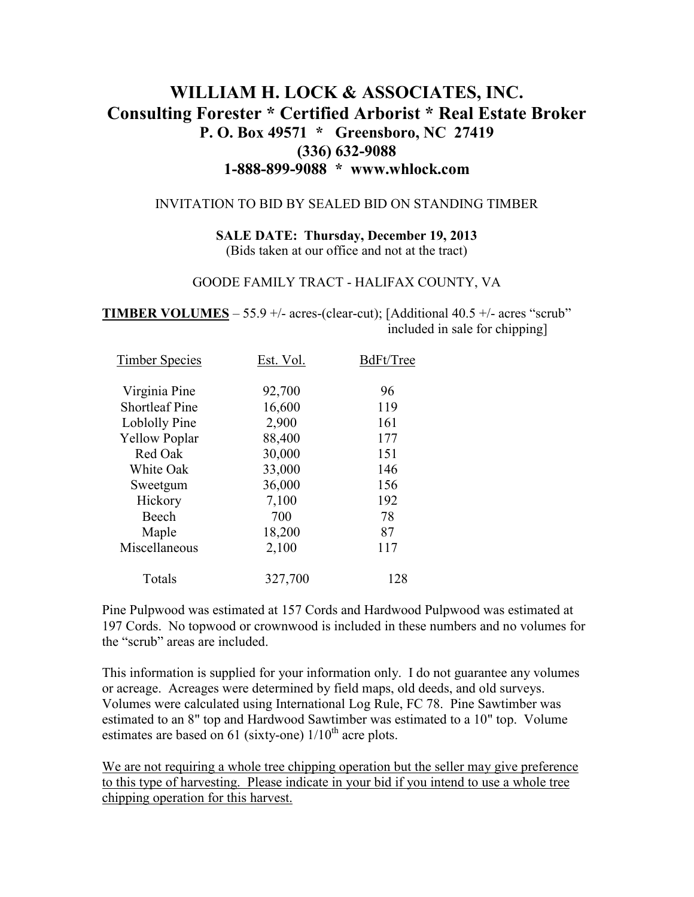# **WILLIAM H. LOCK & ASSOCIATES, INC. Consulting Forester \* Certified Arborist \* Real Estate Broker P. O. Box 49571 \* Greensboro, NC 27419 (336) 632-9088 1-888-899-9088 \* www.whlock.com**

#### INVITATION TO BID BY SEALED BID ON STANDING TIMBER

**SALE DATE: Thursday, December 19, 2013**  (Bids taken at our office and not at the tract)

#### GOODE FAMILY TRACT - HALIFAX COUNTY, VA

**TIMBER VOLUMES** – 55.9 +/- acres-(clear-cut); [Additional 40.5 +/- acres "scrub" included in sale for chipping]

| <b>Timber Species</b> | Est. Vol. | BdFt/Tree |
|-----------------------|-----------|-----------|
| Virginia Pine         | 92,700    | 96        |
| <b>Shortleaf Pine</b> | 16,600    | 119       |
| Loblolly Pine         | 2,900     | 161       |
| <b>Yellow Poplar</b>  | 88,400    | 177       |
| Red Oak               | 30,000    | 151       |
| White Oak             | 33,000    | 146       |
| Sweetgum              | 36,000    | 156       |
| Hickory               | 7,100     | 192       |
| Beech                 | 700       | 78        |
| Maple                 | 18,200    | 87        |
| Miscellaneous         | 2,100     | 117       |
| Totals                | 327,700   | 128       |

Pine Pulpwood was estimated at 157 Cords and Hardwood Pulpwood was estimated at 197 Cords. No topwood or crownwood is included in these numbers and no volumes for the "scrub" areas are included.

This information is supplied for your information only. I do not guarantee any volumes or acreage. Acreages were determined by field maps, old deeds, and old surveys. Volumes were calculated using International Log Rule, FC 78. Pine Sawtimber was estimated to an 8" top and Hardwood Sawtimber was estimated to a 10" top. Volume estimates are based on 61 (sixty-one)  $1/10^{th}$  acre plots.

We are not requiring a whole tree chipping operation but the seller may give preference to this type of harvesting. Please indicate in your bid if you intend to use a whole tree chipping operation for this harvest.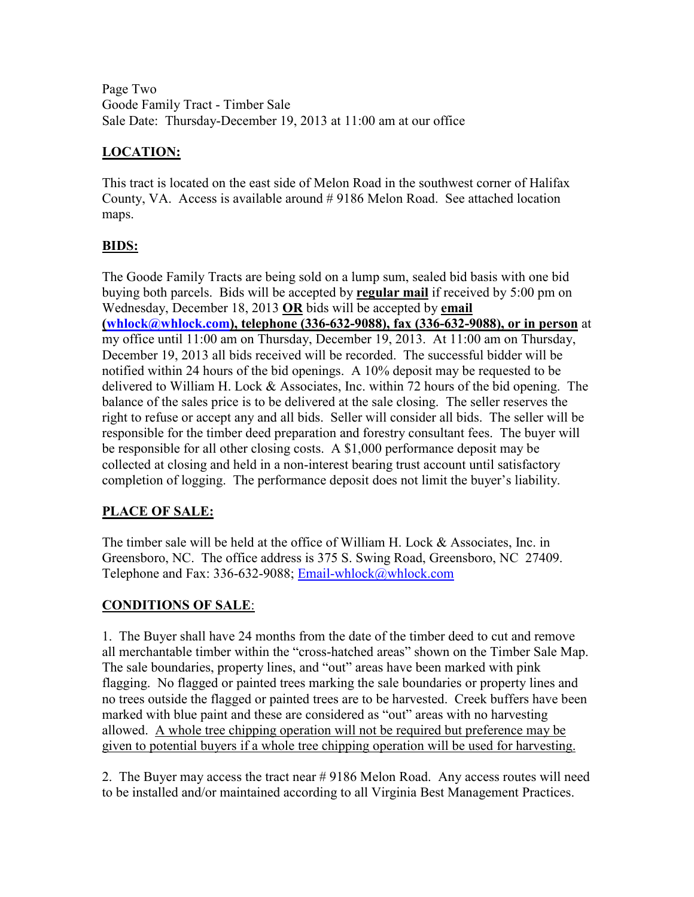Page Two Goode Family Tract - Timber Sale Sale Date: Thursday-December 19, 2013 at 11:00 am at our office

## **LOCATION:**

This tract is located on the east side of Melon Road in the southwest corner of Halifax County, VA. Access is available around # 9186 Melon Road. See attached location maps.

### **BIDS:**

The Goode Family Tracts are being sold on a lump sum, sealed bid basis with one bid buying both parcels. Bids will be accepted by **regular mail** if received by 5:00 pm on Wednesday, December 18, 2013 **OR** bids will be accepted by **email (whlock@whlock.com), telephone (336-632-9088), fax (336-632-9088), or in person** at my office until 11:00 am on Thursday, December 19, 2013. At 11:00 am on Thursday, December 19, 2013 all bids received will be recorded. The successful bidder will be notified within 24 hours of the bid openings. A 10% deposit may be requested to be delivered to William H. Lock & Associates, Inc. within 72 hours of the bid opening. The balance of the sales price is to be delivered at the sale closing. The seller reserves the right to refuse or accept any and all bids. Seller will consider all bids. The seller will be responsible for the timber deed preparation and forestry consultant fees. The buyer will be responsible for all other closing costs. A \$1,000 performance deposit may be collected at closing and held in a non-interest bearing trust account until satisfactory completion of logging. The performance deposit does not limit the buyer's liability.

## **PLACE OF SALE:**

The timber sale will be held at the office of William H. Lock & Associates, Inc. in Greensboro, NC. The office address is 375 S. Swing Road, Greensboro, NC 27409. Telephone and Fax: 336-632-9088; Email-whlock@whlock.com

#### **CONDITIONS OF SALE**:

1. The Buyer shall have 24 months from the date of the timber deed to cut and remove all merchantable timber within the "cross-hatched areas" shown on the Timber Sale Map. The sale boundaries, property lines, and "out" areas have been marked with pink flagging. No flagged or painted trees marking the sale boundaries or property lines and no trees outside the flagged or painted trees are to be harvested. Creek buffers have been marked with blue paint and these are considered as "out" areas with no harvesting allowed. A whole tree chipping operation will not be required but preference may be given to potential buyers if a whole tree chipping operation will be used for harvesting.

2. The Buyer may access the tract near # 9186 Melon Road. Any access routes will need to be installed and/or maintained according to all Virginia Best Management Practices.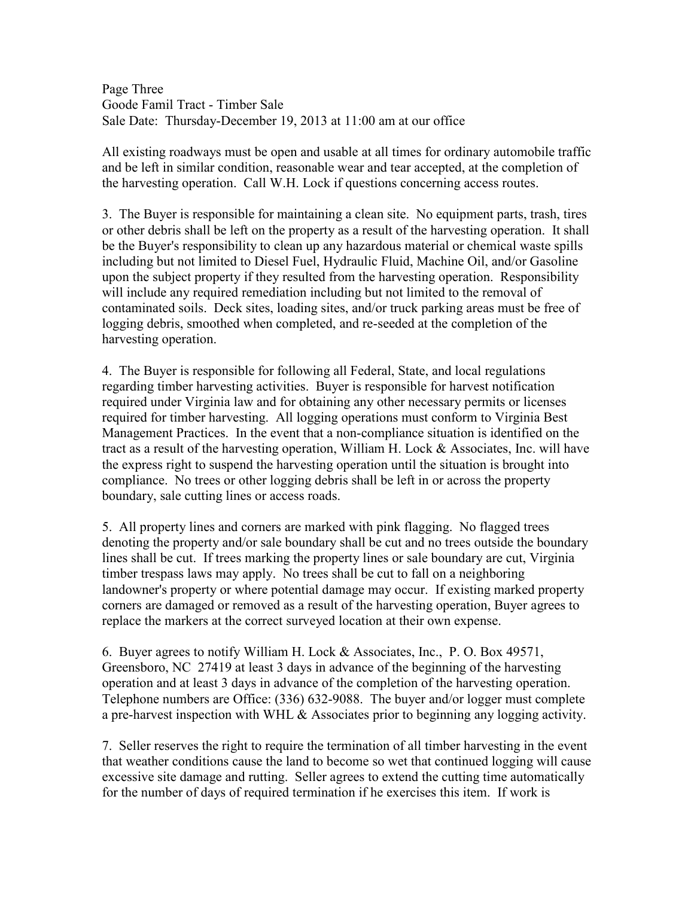Page Three Goode Famil Tract - Timber Sale Sale Date: Thursday-December 19, 2013 at 11:00 am at our office

All existing roadways must be open and usable at all times for ordinary automobile traffic and be left in similar condition, reasonable wear and tear accepted, at the completion of the harvesting operation. Call W.H. Lock if questions concerning access routes.

3. The Buyer is responsible for maintaining a clean site. No equipment parts, trash, tires or other debris shall be left on the property as a result of the harvesting operation. It shall be the Buyer's responsibility to clean up any hazardous material or chemical waste spills including but not limited to Diesel Fuel, Hydraulic Fluid, Machine Oil, and/or Gasoline upon the subject property if they resulted from the harvesting operation. Responsibility will include any required remediation including but not limited to the removal of contaminated soils. Deck sites, loading sites, and/or truck parking areas must be free of logging debris, smoothed when completed, and re-seeded at the completion of the harvesting operation.

4. The Buyer is responsible for following all Federal, State, and local regulations regarding timber harvesting activities. Buyer is responsible for harvest notification required under Virginia law and for obtaining any other necessary permits or licenses required for timber harvesting. All logging operations must conform to Virginia Best Management Practices. In the event that a non-compliance situation is identified on the tract as a result of the harvesting operation, William H. Lock & Associates, Inc. will have the express right to suspend the harvesting operation until the situation is brought into compliance. No trees or other logging debris shall be left in or across the property boundary, sale cutting lines or access roads.

5. All property lines and corners are marked with pink flagging. No flagged trees denoting the property and/or sale boundary shall be cut and no trees outside the boundary lines shall be cut. If trees marking the property lines or sale boundary are cut, Virginia timber trespass laws may apply. No trees shall be cut to fall on a neighboring landowner's property or where potential damage may occur. If existing marked property corners are damaged or removed as a result of the harvesting operation, Buyer agrees to replace the markers at the correct surveyed location at their own expense.

6. Buyer agrees to notify William H. Lock & Associates, Inc., P. O. Box 49571, Greensboro, NC 27419 at least 3 days in advance of the beginning of the harvesting operation and at least 3 days in advance of the completion of the harvesting operation. Telephone numbers are Office: (336) 632-9088. The buyer and/or logger must complete a pre-harvest inspection with WHL  $\&$  Associates prior to beginning any logging activity.

7. Seller reserves the right to require the termination of all timber harvesting in the event that weather conditions cause the land to become so wet that continued logging will cause excessive site damage and rutting. Seller agrees to extend the cutting time automatically for the number of days of required termination if he exercises this item. If work is